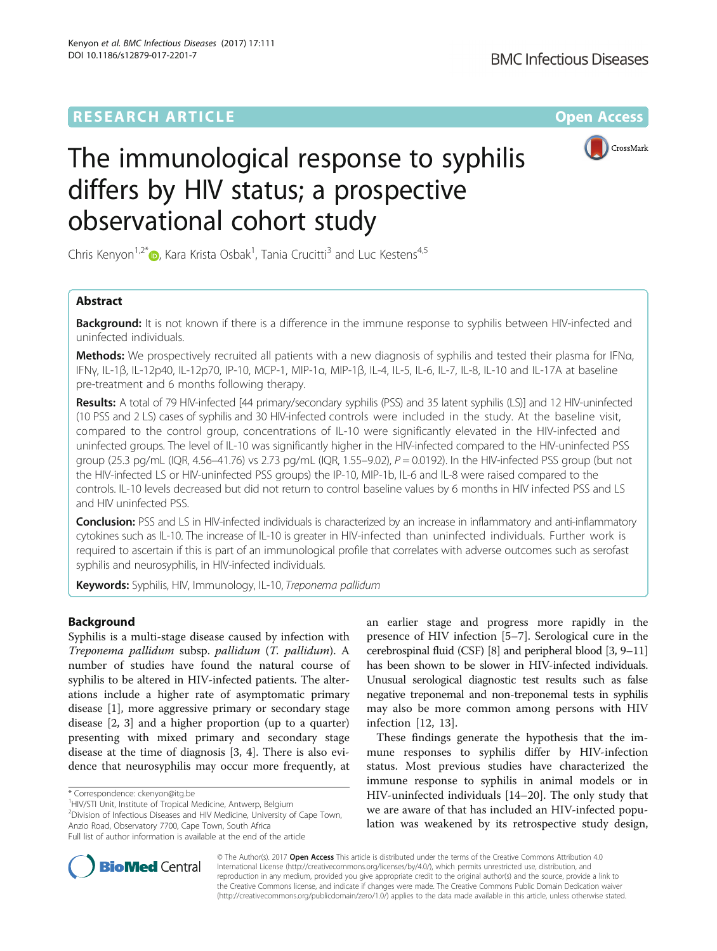## **RESEARCH ARTICLE Example 2014 12:30 The Contract of Contract ACCESS**



# The immunological response to syphilis differs by HIV status; a prospective observational cohort study

Chris Kenyon<sup>1,2[\\*](http://orcid.org/0000-0002-2557-8998)</sup>®, Kara Krista Osbak<sup>1</sup>, Tania Crucitti<sup>3</sup> and Luc Kestens<sup>4,5</sup>

## Abstract

Background: It is not known if there is a difference in the immune response to syphilis between HIV-infected and uninfected individuals.

Methods: We prospectively recruited all patients with a new diagnosis of syphilis and tested their plasma for IFNa, IFNγ, IL-1β, IL-12p40, IL-12p70, IP-10, MCP-1, MIP-1α, MIP-1β, IL-4, IL-5, IL-6, IL-7, IL-8, IL-10 and IL-17A at baseline pre-treatment and 6 months following therapy.

Results: A total of 79 HIV-infected [44 primary/secondary syphilis (PSS) and 35 latent syphilis (LS)] and 12 HIV-uninfected (10 PSS and 2 LS) cases of syphilis and 30 HIV-infected controls were included in the study. At the baseline visit, compared to the control group, concentrations of IL-10 were significantly elevated in the HIV-infected and uninfected groups. The level of IL-10 was significantly higher in the HIV-infected compared to the HIV-uninfected PSS group (25.3 pg/mL (IQR, 4.56–41.76) vs 2.73 pg/mL (IQR, 1.55–9.02),  $P = 0.0192$ ). In the HIV-infected PSS group (but not the HIV-infected LS or HIV-uninfected PSS groups) the IP-10, MIP-1b, IL-6 and IL-8 were raised compared to the controls. IL-10 levels decreased but did not return to control baseline values by 6 months in HIV infected PSS and LS and HIV uninfected PSS.

Conclusion: PSS and LS in HIV-infected individuals is characterized by an increase in inflammatory and anti-inflammatory cytokines such as IL-10. The increase of IL-10 is greater in HIV-infected than uninfected individuals. Further work is required to ascertain if this is part of an immunological profile that correlates with adverse outcomes such as serofast syphilis and neurosyphilis, in HIV-infected individuals.

Keywords: Syphilis, HIV, Immunology, IL-10, Treponema pallidum

## Background

Syphilis is a multi-stage disease caused by infection with Treponema pallidum subsp. pallidum (T. pallidum). A number of studies have found the natural course of syphilis to be altered in HIV-infected patients. The alterations include a higher rate of asymptomatic primary disease [\[1](#page-7-0)], more aggressive primary or secondary stage disease [\[2](#page-7-0), [3](#page-7-0)] and a higher proportion (up to a quarter) presenting with mixed primary and secondary stage disease at the time of diagnosis [[3, 4](#page-7-0)]. There is also evidence that neurosyphilis may occur more frequently, at

<sup>1</sup>HIV/STI Unit, Institute of Tropical Medicine, Antwerp, Belgium

<sup>2</sup> Division of Infectious Diseases and HIV Medicine, University of Cape Town, Anzio Road, Observatory 7700, Cape Town, South Africa Full list of author information is available at the end of the article

These findings generate the hypothesis that the immune responses to syphilis differ by HIV-infection status. Most previous studies have characterized the immune response to syphilis in animal models or in HIV-uninfected individuals [[14](#page-8-0)–[20](#page-8-0)]. The only study that we are aware of that has included an HIV-infected population was weakened by its retrospective study design,



© The Author(s). 2017 **Open Access** This article is distributed under the terms of the Creative Commons Attribution 4.0 International License [\(http://creativecommons.org/licenses/by/4.0/](http://creativecommons.org/licenses/by/4.0/)), which permits unrestricted use, distribution, and reproduction in any medium, provided you give appropriate credit to the original author(s) and the source, provide a link to the Creative Commons license, and indicate if changes were made. The Creative Commons Public Domain Dedication waiver [\(http://creativecommons.org/publicdomain/zero/1.0/](http://creativecommons.org/publicdomain/zero/1.0/)) applies to the data made available in this article, unless otherwise stated.

<sup>\*</sup> Correspondence: [ckenyon@itg.be](mailto:ckenyon@itg.be) <sup>1</sup>

an earlier stage and progress more rapidly in the presence of HIV infection [[5](#page-7-0)–[7\]](#page-7-0). Serological cure in the cerebrospinal fluid (CSF) [\[8\]](#page-7-0) and peripheral blood [\[3,](#page-7-0) [9](#page-8-0)–[11](#page-8-0)] has been shown to be slower in HIV-infected individuals. Unusual serological diagnostic test results such as false negative treponemal and non-treponemal tests in syphilis may also be more common among persons with HIV infection [[12, 13\]](#page-8-0).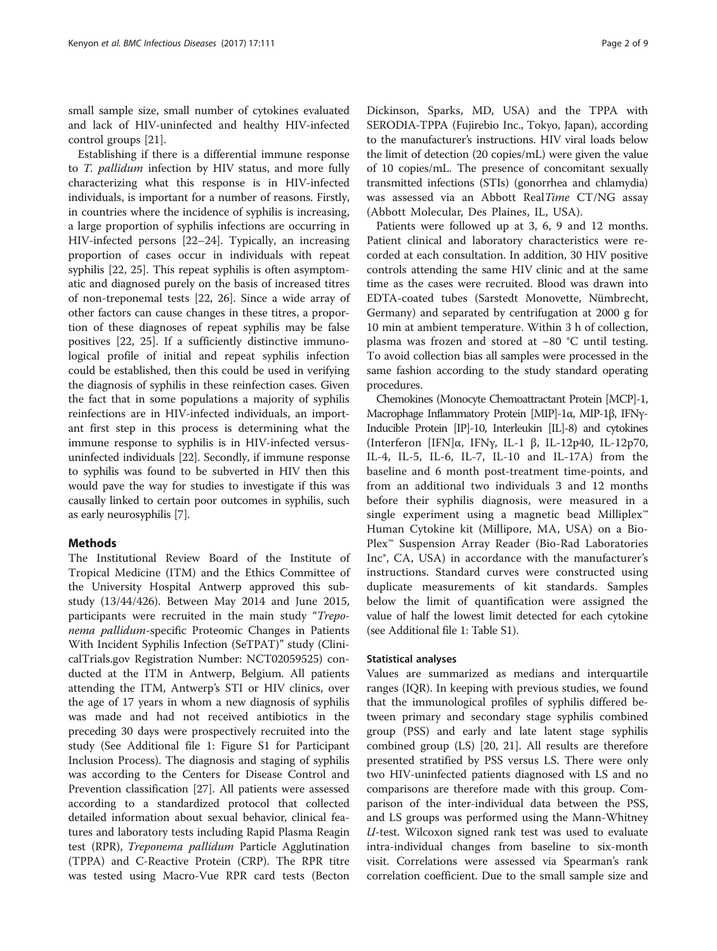small sample size, small number of cytokines evaluated and lack of HIV-uninfected and healthy HIV-infected control groups [\[21\]](#page-8-0).

Establishing if there is a differential immune response to T. pallidum infection by HIV status, and more fully characterizing what this response is in HIV-infected individuals, is important for a number of reasons. Firstly, in countries where the incidence of syphilis is increasing, a large proportion of syphilis infections are occurring in HIV-infected persons [\[22](#page-8-0)–[24](#page-8-0)]. Typically, an increasing proportion of cases occur in individuals with repeat syphilis [\[22](#page-8-0), [25](#page-8-0)]. This repeat syphilis is often asymptomatic and diagnosed purely on the basis of increased titres of non-treponemal tests [[22, 26\]](#page-8-0). Since a wide array of other factors can cause changes in these titres, a proportion of these diagnoses of repeat syphilis may be false positives [[22, 25](#page-8-0)]. If a sufficiently distinctive immunological profile of initial and repeat syphilis infection could be established, then this could be used in verifying the diagnosis of syphilis in these reinfection cases. Given the fact that in some populations a majority of syphilis reinfections are in HIV-infected individuals, an important first step in this process is determining what the immune response to syphilis is in HIV-infected versusuninfected individuals [\[22](#page-8-0)]. Secondly, if immune response to syphilis was found to be subverted in HIV then this would pave the way for studies to investigate if this was causally linked to certain poor outcomes in syphilis, such as early neurosyphilis [[7\]](#page-7-0).

## Methods

The Institutional Review Board of the Institute of Tropical Medicine (ITM) and the Ethics Committee of the University Hospital Antwerp approved this substudy (13/44/426). Between May 2014 and June 2015, participants were recruited in the main study "Treponema pallidum-specific Proteomic Changes in Patients With Incident Syphilis Infection (SeTPAT)" study (ClinicalTrials.gov Registration Number: NCT02059525) conducted at the ITM in Antwerp, Belgium. All patients attending the ITM, Antwerp's STI or HIV clinics, over the age of 17 years in whom a new diagnosis of syphilis was made and had not received antibiotics in the preceding 30 days were prospectively recruited into the study (See Additional file [1](#page-7-0): Figure S1 for Participant Inclusion Process). The diagnosis and staging of syphilis was according to the Centers for Disease Control and Prevention classification [[27](#page-8-0)]. All patients were assessed according to a standardized protocol that collected detailed information about sexual behavior, clinical features and laboratory tests including Rapid Plasma Reagin test (RPR), Treponema pallidum Particle Agglutination (TPPA) and C-Reactive Protein (CRP). The RPR titre was tested using Macro-Vue RPR card tests (Becton

Dickinson, Sparks, MD, USA) and the TPPA with SERODIA-TPPA (Fujirebio Inc., Tokyo, Japan), according to the manufacturer's instructions. HIV viral loads below the limit of detection (20 copies/mL) were given the value of 10 copies/mL. The presence of concomitant sexually transmitted infections (STIs) (gonorrhea and chlamydia) was assessed via an Abbott RealTime CT/NG assay (Abbott Molecular, Des Plaines, IL, USA).

Patients were followed up at 3, 6, 9 and 12 months. Patient clinical and laboratory characteristics were recorded at each consultation. In addition, 30 HIV positive controls attending the same HIV clinic and at the same time as the cases were recruited. Blood was drawn into EDTA-coated tubes (Sarstedt Monovette, Nümbrecht, Germany) and separated by centrifugation at 2000 g for 10 min at ambient temperature. Within 3 h of collection, plasma was frozen and stored at −80 °C until testing. To avoid collection bias all samples were processed in the same fashion according to the study standard operating procedures.

Chemokines (Monocyte Chemoattractant Protein [MCP]-1, Macrophage Inflammatory Protein [MIP]-1α, MIP-1β, IFNγ-Inducible Protein [IP]-10, Interleukin [IL]-8) and cytokines (Interferon [IFN]α, IFNγ, IL-1 β, IL-12p40, IL-12p70, IL-4, IL-5, IL-6, IL-7, IL-10 and IL-17A) from the baseline and 6 month post-treatment time-points, and from an additional two individuals 3 and 12 months before their syphilis diagnosis, were measured in a single experiment using a magnetic bead Milliplex™ Human Cytokine kit (Millipore, MA, USA) on a Bio-Plex™ Suspension Array Reader (Bio-Rad Laboratories Inc®, CA, USA) in accordance with the manufacturer's instructions. Standard curves were constructed using duplicate measurements of kit standards. Samples below the limit of quantification were assigned the value of half the lowest limit detected for each cytokine (see Additional file [1](#page-7-0): Table S1).

## Statistical analyses

Values are summarized as medians and interquartile ranges (IQR). In keeping with previous studies, we found that the immunological profiles of syphilis differed between primary and secondary stage syphilis combined group (PSS) and early and late latent stage syphilis combined group (LS) [[20, 21\]](#page-8-0). All results are therefore presented stratified by PSS versus LS. There were only two HIV-uninfected patients diagnosed with LS and no comparisons are therefore made with this group. Comparison of the inter-individual data between the PSS, and LS groups was performed using the Mann-Whitney U-test. Wilcoxon signed rank test was used to evaluate intra-individual changes from baseline to six-month visit. Correlations were assessed via Spearman's rank correlation coefficient. Due to the small sample size and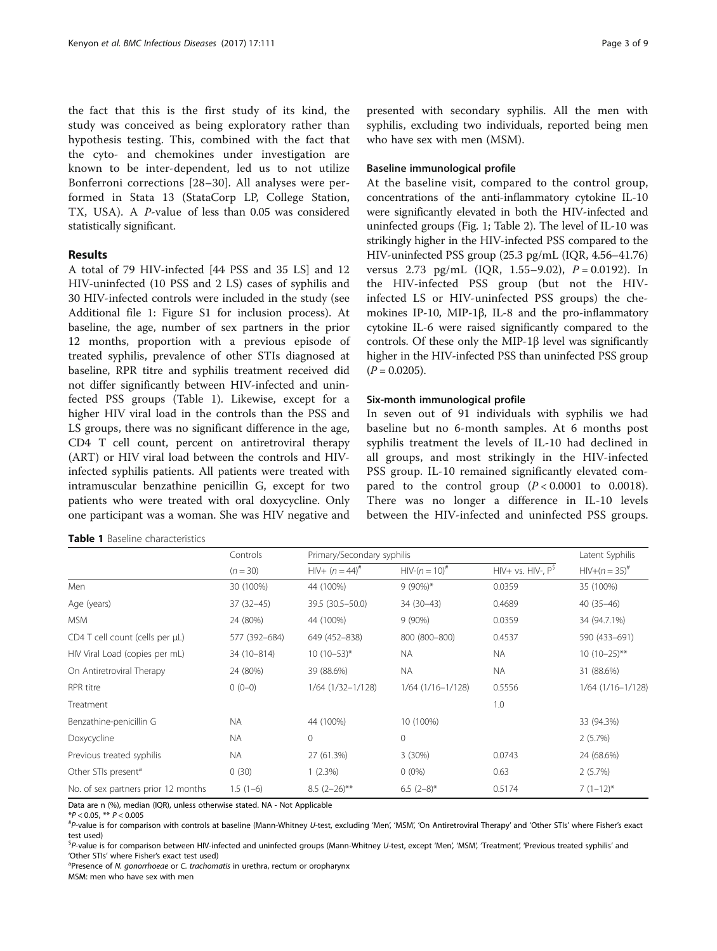the fact that this is the first study of its kind, the study was conceived as being exploratory rather than hypothesis testing. This, combined with the fact that the cyto- and chemokines under investigation are known to be inter-dependent, led us to not utilize Bonferroni corrections [\[28](#page-8-0)–[30](#page-8-0)]. All analyses were performed in Stata 13 (StataCorp LP, College Station, TX, USA). A P-value of less than 0.05 was considered statistically significant.

## Results

A total of 79 HIV-infected [44 PSS and 35 LS] and 12 HIV-uninfected (10 PSS and 2 LS) cases of syphilis and 30 HIV-infected controls were included in the study (see Additional file [1](#page-7-0): Figure S1 for inclusion process). At baseline, the age, number of sex partners in the prior 12 months, proportion with a previous episode of treated syphilis, prevalence of other STIs diagnosed at baseline, RPR titre and syphilis treatment received did not differ significantly between HIV-infected and uninfected PSS groups (Table 1). Likewise, except for a higher HIV viral load in the controls than the PSS and LS groups, there was no significant difference in the age, CD4 T cell count, percent on antiretroviral therapy (ART) or HIV viral load between the controls and HIVinfected syphilis patients. All patients were treated with intramuscular benzathine penicillin G, except for two patients who were treated with oral doxycycline. Only one participant was a woman. She was HIV negative and

## Table 1 Baseline characteristics

presented with secondary syphilis. All the men with syphilis, excluding two individuals, reported being men who have sex with men (MSM).

## Baseline immunological profile

At the baseline visit, compared to the control group, concentrations of the anti-inflammatory cytokine IL-10 were significantly elevated in both the HIV-infected and uninfected groups (Fig. [1](#page-3-0); Table [2](#page-4-0)). The level of IL-10 was strikingly higher in the HIV-infected PSS compared to the HIV-uninfected PSS group (25.3 pg/mL (IQR, 4.56–41.76) versus 2.73 pg/mL (IQR, 1.55–9.02),  $P = 0.0192$ ). In the HIV-infected PSS group (but not the HIVinfected LS or HIV-uninfected PSS groups) the chemokines IP-10, MIP-1β, IL-8 and the pro-inflammatory cytokine IL-6 were raised significantly compared to the controls. Of these only the MIP-1β level was significantly higher in the HIV-infected PSS than uninfected PSS group  $(P = 0.0205)$ .

## Six-month immunological profile

In seven out of 91 individuals with syphilis we had baseline but no 6-month samples. At 6 months post syphilis treatment the levels of IL-10 had declined in all groups, and most strikingly in the HIV-infected PSS group. IL-10 remained significantly elevated compared to the control group  $(P < 0.0001$  to 0.0018). There was no longer a difference in IL-10 levels between the HIV-infected and uninfected PSS groups.

|                                     | Controls<br>$(n = 30)$ | Primary/Secondary syphilis |                       |                    | Latent Syphilis         |
|-------------------------------------|------------------------|----------------------------|-----------------------|--------------------|-------------------------|
|                                     |                        | $HIV+ (n = 44)^{#}$        | $HIV-(n=10)^{#}$      | $HIV+vs. HIV-, PS$ | $HIV+(n=35)^{#}$        |
| Men                                 | 30 (100%)              | 44 (100%)                  | $9(90\%)*$            | 0.0359             | 35 (100%)               |
| Age (years)                         | $37(32 - 45)$          | 39.5 (30.5-50.0)           | 34 (30-43)            | 0.4689             | $40(35-46)$             |
| <b>MSM</b>                          | 24 (80%)               | 44 (100%)                  | $9(90\%)$             | 0.0359             | 34 (94.7.1%)            |
| CD4 T cell count (cells per µL)     | 577 (392-684)          | 649 (452-838)              | 800 (800-800)         | 0.4537             | 590 (433-691)           |
| HIV Viral Load (copies per mL)      | 34 (10-814)            | $10(10-53)*$               | <b>NA</b>             | <b>NA</b>          | $10(10-25)$ **          |
| On Antiretroviral Therapy           | 24 (80%)               | 39 (88.6%)                 | <b>NA</b>             | <b>NA</b>          | 31 (88.6%)              |
| RPR titre                           | $0(0-0)$               | $1/64$ $(1/32-1/128)$      | $1/64$ $(1/16-1/128)$ | 0.5556             | $1/64$ ( $1/16-1/128$ ) |
| Treatment                           |                        |                            |                       | 1.0                |                         |
| Benzathine-penicillin G             | <b>NA</b>              | 44 (100%)                  | 10 (100%)             |                    | 33 (94.3%)              |
| Doxycycline                         | <b>NA</b>              | $\Omega$                   | $\mathbf 0$           |                    | 2(5.7%)                 |
| Previous treated syphilis           | <b>NA</b>              | 27 (61.3%)                 | 3(30%)                | 0.0743             | 24 (68.6%)              |
| Other STIs present <sup>a</sup>     | 0(30)                  | 1(2.3%)                    | $0(0\%)$              | 0.63               | 2(5.7%)                 |
| No. of sex partners prior 12 months | $1.5(1-6)$             | $8.5(2-26)$ **             | $6.5(2-8)$ *          | 0.5174             | $7(1-12)^{*}$           |

Data are n (%), median (IQR), unless otherwise stated. NA - Not Applicable

 $*P < 0.05$ ,  $** P < 0.005$ 

P-value is for comparison with controls at baseline (Mann-Whitney U-test, excluding 'Men', 'MSM', 'On Antiretroviral Therapy' and 'Other STIs' where Fisher's exact test used)

<sup>\$</sup>P-value is for comparison between HIV-infected and uninfected groups (Mann-Whitney U-test, except 'Men', 'MSM', 'Treatment', 'Previous treated syphilis' and<br>'Other STIc' where Eisher's exact test used\ 'Other STIs' where Fisher's exact test used)

<sup>a</sup>Presence of N. *gonorrhoege* or C. trachomatis in urethra, rectum or oropharynx

MSM: men who have sex with men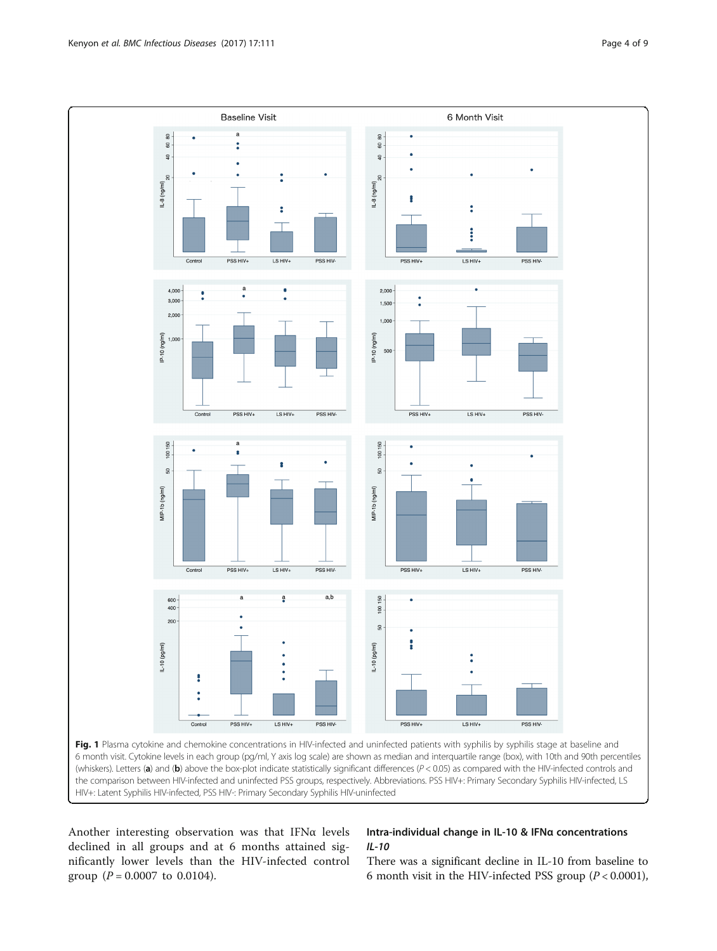<span id="page-3-0"></span>

HIV+: Latent Syphilis HIV-infected, PSS HIV-: Primary Secondary Syphilis HIV-uninfected

Another interesting observation was that IFN $\alpha$  levels declined in all groups and at 6 months attained significantly lower levels than the HIV-infected control group ( $P = 0.0007$  to 0.0104).

## Intra-individual change in IL-10 & IFNα concentrations IL-10

There was a significant decline in IL-10 from baseline to 6 month visit in the HIV-infected PSS group  $(P < 0.0001)$ ,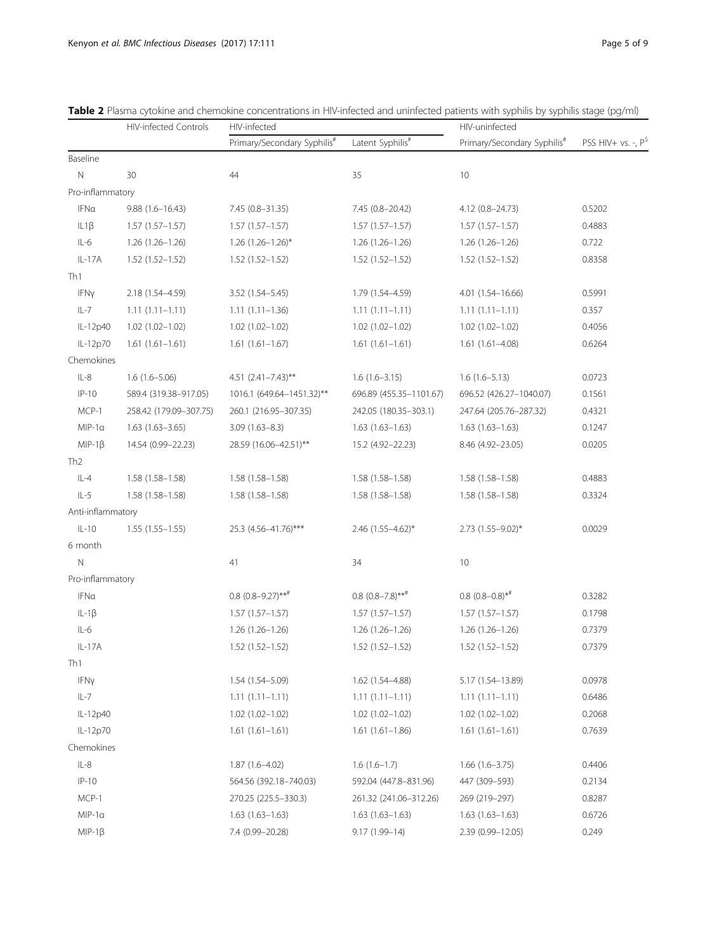|                   | <b>HIV-infected Controls</b> | HIV-infected                            |                                   | HIV-uninfected                          |                       |
|-------------------|------------------------------|-----------------------------------------|-----------------------------------|-----------------------------------------|-----------------------|
|                   |                              | Primary/Secondary Syphilis <sup>#</sup> | Latent Syphilis <sup>#</sup>      | Primary/Secondary Syphilis <sup>#</sup> | PSS HIV+ vs. -, $P^S$ |
| Baseline          |                              |                                         |                                   |                                         |                       |
| $\mathbb N$       | 30                           | 44                                      | 35                                | 10                                      |                       |
| Pro-inflammatory  |                              |                                         |                                   |                                         |                       |
| IFNa              | $9.88(1.6 - 16.43)$          | 7.45 (0.8-31.35)                        | 7.45 (0.8-20.42)                  | 4.12 (0.8-24.73)                        | 0.5202                |
| IL1B              | $1.57(1.57-1.57)$            | $1.57(1.57-1.57)$                       | $1.57(1.57-1.57)$                 | $1.57(1.57 - 1.57)$                     | 0.4883                |
| $IL-6$            | $1.26(1.26 - 1.26)$          | $1.26$ $(1.26 - 1.26)^*$                | $1.26(1.26 - 1.26)$               | $1.26(1.26 - 1.26)$                     | 0.722                 |
| $IL-17A$          | $1.52(1.52 - 1.52)$          | $1.52(1.52 - 1.52)$                     | $1.52(1.52 - 1.52)$               | $1.52(1.52 - 1.52)$                     | 0.8358                |
| Th1               |                              |                                         |                                   |                                         |                       |
| IFNy              | 2.18 (1.54-4.59)             | 3.52 (1.54-5.45)                        | 1.79 (1.54-4.59)                  | 4.01 (1.54-16.66)                       | 0.5991                |
| $IL-7$            | $1.11(1.11 - 1.11)$          | $1.11(1.11 - 1.36)$                     | $1.11(1.11-1.11)$                 | $1.11(1.11 - 1.11)$                     | 0.357                 |
| IL-12p40          | $1.02(1.02 - 1.02)$          | $1.02(1.02 - 1.02)$                     | $1.02(1.02 - 1.02)$               | $1.02(1.02 - 1.02)$                     | 0.4056                |
| IL-12p70          | $1.61(1.61 - 1.61)$          | $1.61(1.61 - 1.67)$                     | $1.61(1.61 - 1.61)$               | $1.61(1.61 - 4.08)$                     | 0.6264                |
| Chemokines        |                              |                                         |                                   |                                         |                       |
| $IL-8$            | $1.6(1.6 - 5.06)$            | 4.51 $(2.41 - 7.43)$ **                 | $1.6(1.6-3.15)$                   | $1.6(1.6-5.13)$                         | 0.0723                |
| $IP-10$           | 589.4 (319.38-917.05)        | 1016.1 (649.64-1451.32)**               | 696.89 (455.35-1101.67)           | 696.52 (426.27-1040.07)                 | 0.1561                |
| MCP-1             | 258.42 (179.09-307.75)       | 260.1 (216.95-307.35)                   | 242.05 (180.35-303.1)             | 247.64 (205.76-287.32)                  | 0.4321                |
| $MIP-1a$          | $1.63(1.63 - 3.65)$          | $3.09(1.63 - 8.3)$                      | $1.63(1.63 - 1.63)$               | $1.63(1.63 - 1.63)$                     | 0.1247                |
| $MIP-1\beta$      | 14.54 (0.99-22.23)           | 28.59 (16.06-42.51)**                   | 15.2 (4.92-22.23)                 | 8.46 (4.92-23.05)                       | 0.0205                |
| Th <sub>2</sub>   |                              |                                         |                                   |                                         |                       |
| $IL-4$            | $1.58(1.58 - 1.58)$          | $1.58(1.58 - 1.58)$                     | $1.58(1.58 - 1.58)$               | $1.58(1.58 - 1.58)$                     | 0.4883                |
| $IL-5$            | $1.58(1.58 - 1.58)$          | $1.58(1.58 - 1.58)$                     | 1.58 (1.58-1.58)                  | $1.58(1.58 - 1.58)$                     | 0.3324                |
| Anti-inflammatory |                              |                                         |                                   |                                         |                       |
| $IL-10$           | $1.55(1.55 - 1.55)$          | 25.3 (4.56-41.76)***                    | $2.46$ (1.55-4.62)*               | $2.73$ (1.55-9.02)*                     | 0.0029                |
| 6 month           |                              |                                         |                                   |                                         |                       |
| N                 |                              | 41                                      | 34                                | 10                                      |                       |
| Pro-inflammatory  |                              |                                         |                                   |                                         |                       |
| IFNa              |                              | $0.8$ $(0.8-9.27)$ ** <sup>#</sup>      | $0.8$ $(0.8-7.8)$ ** <sup>#</sup> | $0.8$ $(0.8-0.8)$ * <sup>#</sup>        | 0.3282                |
| $IL-1\beta$       |                              | $1.57(1.57 - 1.57)$                     | $1.57(1.57-1.57)$                 | $1.57(1.57 - 1.57)$                     | 0.1798                |
| $IL-6$            |                              | 1.26 (1.26-1.26)                        | 1.26 (1.26-1.26)                  | 1.26 (1.26-1.26)                        | 0.7379                |
| $IL-17A$          |                              | 1.52 (1.52-1.52)                        | $1.52(1.52 - 1.52)$               | $1.52(1.52 - 1.52)$                     | 0.7379                |
| Th1               |                              |                                         |                                   |                                         |                       |
| IFNy              |                              | 1.54 (1.54 - 5.09)                      | 1.62 (1.54-4.88)                  | 5.17 (1.54-13.89)                       | 0.0978                |
| $IL-7$            |                              | $1.11(1.11-1.11)$                       | $1.11(1.11 - 1.11)$               | $1.11(1.11 - 1.11)$                     | 0.6486                |
| IL-12p40          |                              | $1.02(1.02 - 1.02)$                     | $1.02(1.02 - 1.02)$               | $1.02(1.02 - 1.02)$                     | 0.2068                |
| IL-12p70          |                              | $1.61(1.61-1.61)$                       | $1.61(1.61 - 1.86)$               | $1.61(1.61 - 1.61)$                     | 0.7639                |
| Chemokines        |                              |                                         |                                   |                                         |                       |
| $IL-8$            |                              | $1.87(1.6 - 4.02)$                      | $1.6(1.6-1.7)$                    | $1.66(1.6 - 3.75)$                      | 0.4406                |
| $IP-10$           |                              | 564.56 (392.18-740.03)                  | 592.04 (447.8-831.96)             | 447 (309-593)                           | 0.2134                |
| MCP-1             |                              | 270.25 (225.5-330.3)                    | 261.32 (241.06-312.26)            | 269 (219–297)                           | 0.8287                |
| $MIP-1a$          |                              | $1.63(1.63-1.63)$                       | $1.63(1.63-1.63)$                 | $1.63(1.63-1.63)$                       | 0.6726                |
| $MIP-1\beta$      |                              | 7.4 (0.99-20.28)                        | 9.17 (1.99-14)                    | 2.39 (0.99-12.05)                       | 0.249                 |

<span id="page-4-0"></span>Table 2 Plasma cytokine and chemokine concentrations in HIV-infected and uninfected patients with syphilis by syphilis stage (pg/ml)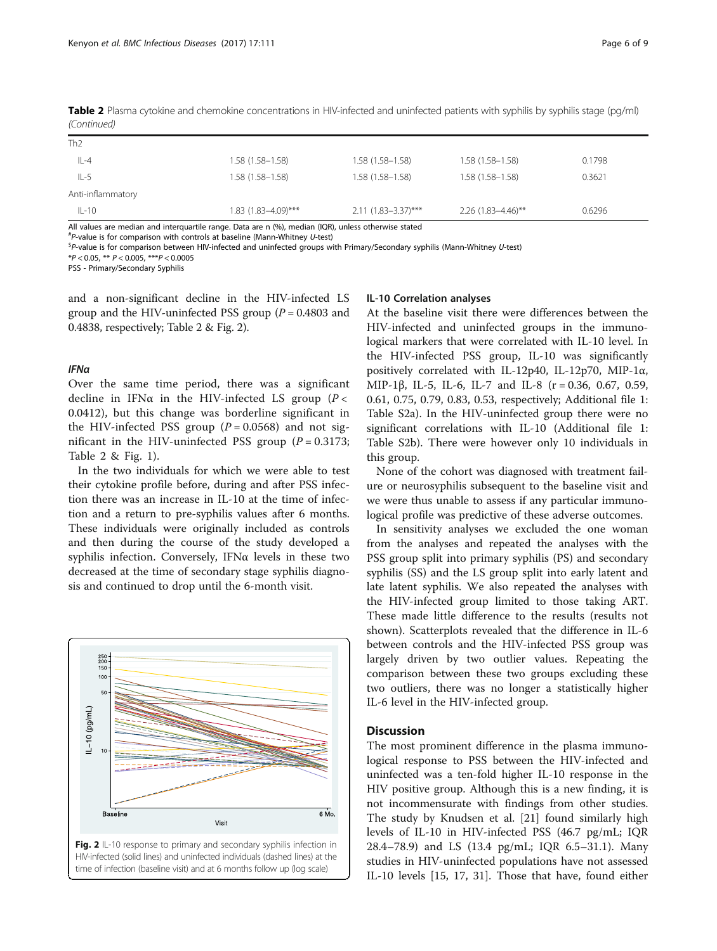| $IL-10$           | 1.83 (1.83–4.09)*** | $2.11(1.83 - 3.37)$ *** | $2.26$ (1.83-4.46)** | 0.6296 |
|-------------------|---------------------|-------------------------|----------------------|--------|
|                   |                     |                         |                      |        |
| Anti-inflammatory |                     |                         |                      |        |
| $IL-5$            | $1.58(1.58 - 1.58)$ | $1.58(1.58 - 1.58)$     | $1.58(1.58 - 1.58)$  | 0.3621 |
| $IL-4$            | $1.58(1.58 - 1.58)$ | $1.58(1.58 - 1.58)$     | $1.58(1.58 - 1.58)$  | 0.1798 |
| Th <sub>2</sub>   |                     |                         |                      |        |

Table 2 Plasma cytokine and chemokine concentrations in HIV-infected and uninfected patients with syphilis by syphilis stage (pg/ml) (Continued)

All values are median and interquartile range. Data are n (%), median (IQR), unless otherwise stated

*#P*-value is for comparison with controls at baseline (Mann-Whitney U-test)<br>Spavalue is for comparison between HIV-infected and uninfected groups w

P-value is for comparison between HIV-infected and uninfected groups with Primary/Secondary syphilis (Mann-Whitney U-test)

 $*P < 0.05$ ,  $** P < 0.005$ ,  $** P < 0.0005$ 

PSS - Primary/Secondary Syphilis

and a non-significant decline in the HIV-infected LS group and the HIV-uninfected PSS group ( $P = 0.4803$  and 0.4838, respectively; Table [2](#page-4-0) & Fig. 2).

#### IFNα

Over the same time period, there was a significant decline in IFN $\alpha$  in the HIV-infected LS group ( $P <$ 0.0412), but this change was borderline significant in the HIV-infected PSS group ( $P = 0.0568$ ) and not significant in the HIV-uninfected PSS group ( $P = 0.3173$ ; Table [2](#page-4-0) & Fig. [1](#page-3-0)).

In the two individuals for which we were able to test their cytokine profile before, during and after PSS infection there was an increase in IL-10 at the time of infection and a return to pre-syphilis values after 6 months. These individuals were originally included as controls and then during the course of the study developed a syphilis infection. Conversely, IFNα levels in these two decreased at the time of secondary stage syphilis diagnosis and continued to drop until the 6-month visit.



#### IL-10 Correlation analyses

At the baseline visit there were differences between the HIV-infected and uninfected groups in the immunological markers that were correlated with IL-10 level. In the HIV-infected PSS group, IL-10 was significantly positively correlated with IL-12p40, IL-12p70, MIP-1 $\alpha$ , MIP-1β, IL-5, IL-6, IL-7 and IL-8 (r = 0.36, 0.67, 0.59, 0.61, 0.75, 0.79, 0.83, 0.53, respectively; Additional file [1](#page-7-0): Table S2a). In the HIV-uninfected group there were no significant correlations with IL-10 (Additional file [1](#page-7-0): Table S2b). There were however only 10 individuals in this group.

None of the cohort was diagnosed with treatment failure or neurosyphilis subsequent to the baseline visit and we were thus unable to assess if any particular immunological profile was predictive of these adverse outcomes.

In sensitivity analyses we excluded the one woman from the analyses and repeated the analyses with the PSS group split into primary syphilis (PS) and secondary syphilis (SS) and the LS group split into early latent and late latent syphilis. We also repeated the analyses with the HIV-infected group limited to those taking ART. These made little difference to the results (results not shown). Scatterplots revealed that the difference in IL-6 between controls and the HIV-infected PSS group was largely driven by two outlier values. Repeating the comparison between these two groups excluding these two outliers, there was no longer a statistically higher IL-6 level in the HIV-infected group.

#### **Discussion**

The most prominent difference in the plasma immunological response to PSS between the HIV-infected and uninfected was a ten-fold higher IL-10 response in the HIV positive group. Although this is a new finding, it is not incommensurate with findings from other studies. The study by Knudsen et al. [\[21](#page-8-0)] found similarly high levels of IL-10 in HIV-infected PSS (46.7 pg/mL; IQR 28.4–78.9) and LS (13.4 pg/mL; IQR 6.5–31.1). Many studies in HIV-uninfected populations have not assessed IL-10 levels [[15, 17, 31\]](#page-8-0). Those that have, found either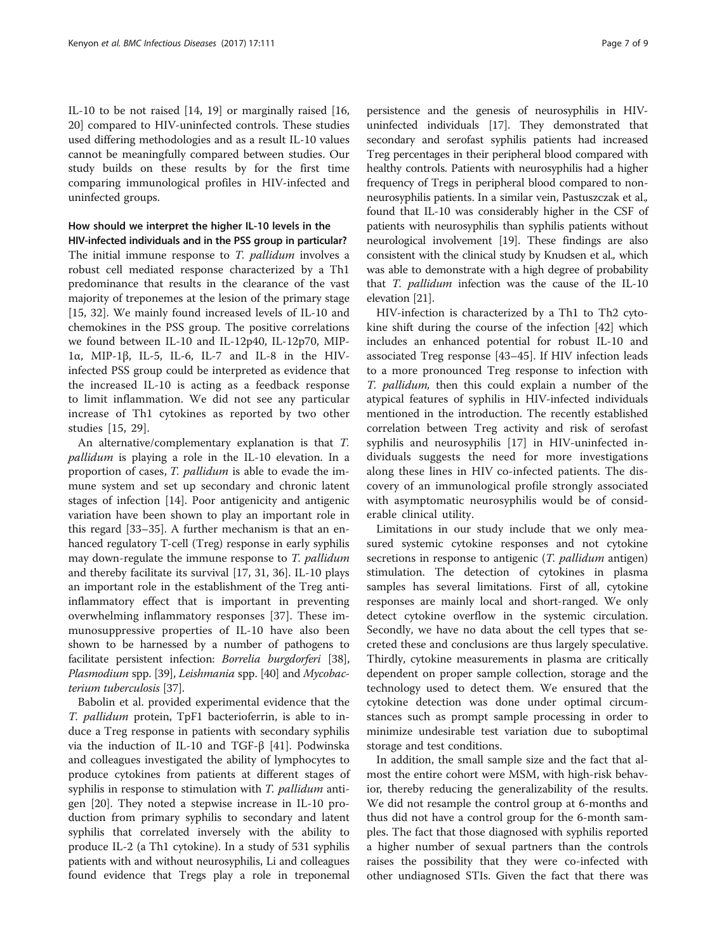IL-10 to be not raised [\[14, 19\]](#page-8-0) or marginally raised [[16](#page-8-0), [20\]](#page-8-0) compared to HIV-uninfected controls. These studies used differing methodologies and as a result IL-10 values cannot be meaningfully compared between studies. Our study builds on these results by for the first time comparing immunological profiles in HIV-infected and uninfected groups.

## How should we interpret the higher IL-10 levels in the

HIV-infected individuals and in the PSS group in particular? The initial immune response to  $T.$   $pallidum$  involves a robust cell mediated response characterized by a Th1 predominance that results in the clearance of the vast majority of treponemes at the lesion of the primary stage [[15, 32](#page-8-0)]. We mainly found increased levels of IL-10 and chemokines in the PSS group. The positive correlations we found between IL-10 and IL-12p40, IL-12p70, MIP-1α, MIP-1β, IL-5, IL-6, IL-7 and IL-8 in the HIVinfected PSS group could be interpreted as evidence that the increased IL-10 is acting as a feedback response to limit inflammation. We did not see any particular increase of Th1 cytokines as reported by two other studies [[15, 29\]](#page-8-0).

An alternative/complementary explanation is that T. pallidum is playing a role in the IL-10 elevation. In a proportion of cases, T. pallidum is able to evade the immune system and set up secondary and chronic latent stages of infection [\[14](#page-8-0)]. Poor antigenicity and antigenic variation have been shown to play an important role in this regard [[33](#page-8-0)–[35](#page-8-0)]. A further mechanism is that an enhanced regulatory T-cell (Treg) response in early syphilis may down-regulate the immune response to T. pallidum and thereby facilitate its survival [[17](#page-8-0), [31](#page-8-0), [36](#page-8-0)]. IL-10 plays an important role in the establishment of the Treg antiinflammatory effect that is important in preventing overwhelming inflammatory responses [[37](#page-8-0)]. These immunosuppressive properties of IL-10 have also been shown to be harnessed by a number of pathogens to facilitate persistent infection: Borrelia burgdorferi [[38](#page-8-0)], Plasmodium spp. [\[39\]](#page-8-0), Leishmania spp. [\[40](#page-8-0)] and Mycobacterium tuberculosis [[37](#page-8-0)].

Babolin et al. provided experimental evidence that the T. pallidum protein, TpF1 bacterioferrin, is able to induce a Treg response in patients with secondary syphilis via the induction of IL-10 and TGF-β [\[41](#page-8-0)]. Podwinska and colleagues investigated the ability of lymphocytes to produce cytokines from patients at different stages of syphilis in response to stimulation with T. *pallidum* antigen [[20](#page-8-0)]. They noted a stepwise increase in IL-10 production from primary syphilis to secondary and latent syphilis that correlated inversely with the ability to produce IL-2 (a Th1 cytokine). In a study of 531 syphilis patients with and without neurosyphilis, Li and colleagues found evidence that Tregs play a role in treponemal

persistence and the genesis of neurosyphilis in HIVuninfected individuals [\[17\]](#page-8-0). They demonstrated that secondary and serofast syphilis patients had increased Treg percentages in their peripheral blood compared with healthy controls. Patients with neurosyphilis had a higher frequency of Tregs in peripheral blood compared to nonneurosyphilis patients. In a similar vein, Pastuszczak et al., found that IL-10 was considerably higher in the CSF of patients with neurosyphilis than syphilis patients without neurological involvement [[19](#page-8-0)]. These findings are also consistent with the clinical study by Knudsen et al., which was able to demonstrate with a high degree of probability that T. pallidum infection was the cause of the IL-10 elevation [\[21\]](#page-8-0).

HIV-infection is characterized by a Th1 to Th2 cytokine shift during the course of the infection [\[42](#page-8-0)] which includes an enhanced potential for robust IL-10 and associated Treg response [\[43](#page-8-0)–[45\]](#page-8-0). If HIV infection leads to a more pronounced Treg response to infection with T. pallidum, then this could explain a number of the atypical features of syphilis in HIV-infected individuals mentioned in the introduction. The recently established correlation between Treg activity and risk of serofast syphilis and neurosyphilis [[17\]](#page-8-0) in HIV-uninfected individuals suggests the need for more investigations along these lines in HIV co-infected patients. The discovery of an immunological profile strongly associated with asymptomatic neurosyphilis would be of considerable clinical utility.

Limitations in our study include that we only measured systemic cytokine responses and not cytokine secretions in response to antigenic (*T. pallidum* antigen) stimulation. The detection of cytokines in plasma samples has several limitations. First of all, cytokine responses are mainly local and short-ranged. We only detect cytokine overflow in the systemic circulation. Secondly, we have no data about the cell types that secreted these and conclusions are thus largely speculative. Thirdly, cytokine measurements in plasma are critically dependent on proper sample collection, storage and the technology used to detect them. We ensured that the cytokine detection was done under optimal circumstances such as prompt sample processing in order to minimize undesirable test variation due to suboptimal storage and test conditions.

In addition, the small sample size and the fact that almost the entire cohort were MSM, with high-risk behavior, thereby reducing the generalizability of the results. We did not resample the control group at 6-months and thus did not have a control group for the 6-month samples. The fact that those diagnosed with syphilis reported a higher number of sexual partners than the controls raises the possibility that they were co-infected with other undiagnosed STIs. Given the fact that there was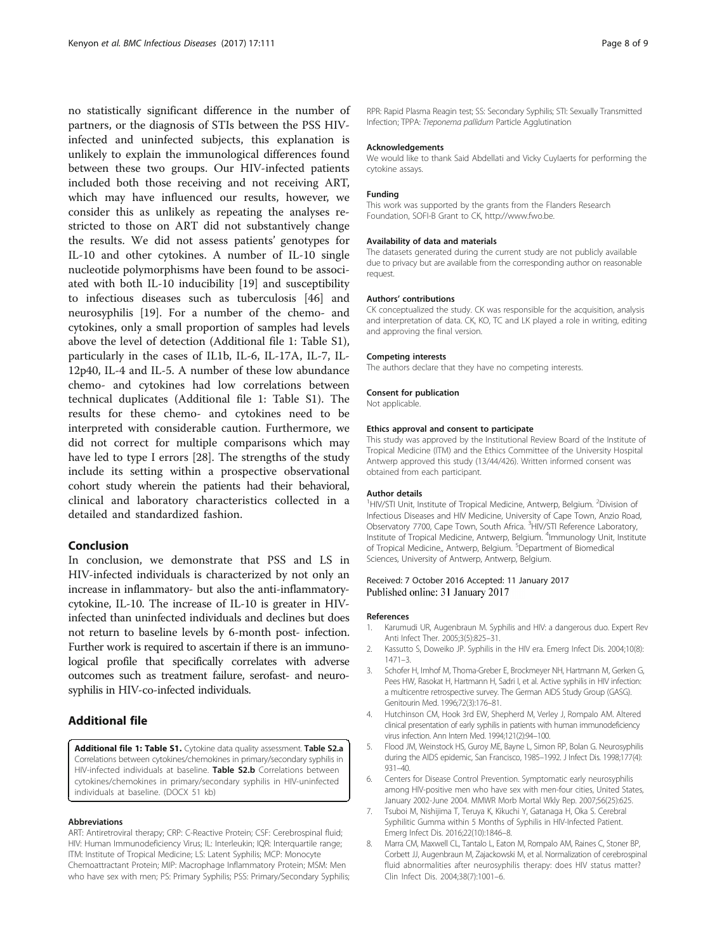<span id="page-7-0"></span>no statistically significant difference in the number of partners, or the diagnosis of STIs between the PSS HIVinfected and uninfected subjects, this explanation is unlikely to explain the immunological differences found between these two groups. Our HIV-infected patients included both those receiving and not receiving ART, which may have influenced our results, however, we consider this as unlikely as repeating the analyses restricted to those on ART did not substantively change the results. We did not assess patients' genotypes for IL-10 and other cytokines. A number of IL-10 single nucleotide polymorphisms have been found to be associated with both IL-10 inducibility [[19](#page-8-0)] and susceptibility to infectious diseases such as tuberculosis [[46\]](#page-8-0) and neurosyphilis [\[19](#page-8-0)]. For a number of the chemo- and cytokines, only a small proportion of samples had levels above the level of detection (Additional file 1: Table S1), particularly in the cases of IL1b, IL-6, IL-17A, IL-7, IL-12p40, IL-4 and IL-5. A number of these low abundance chemo- and cytokines had low correlations between technical duplicates (Additional file 1: Table S1). The results for these chemo- and cytokines need to be interpreted with considerable caution. Furthermore, we did not correct for multiple comparisons which may have led to type I errors [[28\]](#page-8-0). The strengths of the study include its setting within a prospective observational cohort study wherein the patients had their behavioral, clinical and laboratory characteristics collected in a detailed and standardized fashion.

## Conclusion

In conclusion, we demonstrate that PSS and LS in HIV-infected individuals is characterized by not only an increase in inflammatory- but also the anti-inflammatorycytokine, IL-10. The increase of IL-10 is greater in HIVinfected than uninfected individuals and declines but does not return to baseline levels by 6-month post- infection. Further work is required to ascertain if there is an immunological profile that specifically correlates with adverse outcomes such as treatment failure, serofast- and neurosyphilis in HIV-co-infected individuals.

## Additional file

[Additional file 1: Table S1.](dx.doi.org/10.1186/s12879-017-2201-7) Cytokine data quality assessment. Table S2.a Correlations between cytokines/chemokines in primary/secondary syphilis in HIV-infected individuals at baseline. Table S2.b Correlations between cytokines/chemokines in primary/secondary syphilis in HIV-uninfected individuals at baseline. (DOCX 51 kb)

#### Abbreviations

ART: Antiretroviral therapy; CRP: C-Reactive Protein; CSF: Cerebrospinal fluid; HIV: Human Immunodeficiency Virus; IL: Interleukin; IQR: Interquartile range; ITM: Institute of Tropical Medicine; LS: Latent Syphilis; MCP: Monocyte Chemoattractant Protein; MIP: Macrophage Inflammatory Protein; MSM: Men who have sex with men; PS: Primary Syphilis; PSS: Primary/Secondary Syphilis;

RPR: Rapid Plasma Reagin test; SS: Secondary Syphilis; STI: Sexually Transmitted Infection; TPPA: Treponema pallidum Particle Agglutination

#### Acknowledgements

We would like to thank Said Abdellati and Vicky Cuylaerts for performing the cytokine assays.

#### Funding

This work was supported by the grants from the Flanders Research Foundation, SOFI-B Grant to CK, [http://www.fwo.be.](http://www.fwo.be/)

#### Availability of data and materials

The datasets generated during the current study are not publicly available due to privacy but are available from the corresponding author on reasonable request.

#### Authors' contributions

CK conceptualized the study. CK was responsible for the acquisition, analysis and interpretation of data. CK, KO, TC and LK played a role in writing, editing and approving the final version.

#### Competing interests

The authors declare that they have no competing interests.

#### Consent for publication

Not applicable.

#### Ethics approval and consent to participate

This study was approved by the Institutional Review Board of the Institute of Tropical Medicine (ITM) and the Ethics Committee of the University Hospital Antwerp approved this study (13/44/426). Written informed consent was obtained from each participant.

#### Author details

<sup>1</sup>HIV/STI Unit, Institute of Tropical Medicine, Antwerp, Belgium. <sup>2</sup>Division of Infectious Diseases and HIV Medicine, University of Cape Town, Anzio Road, Observatory 7700, Cape Town, South Africa. <sup>3</sup>HIV/STI Reference Laboratory Institute of Tropical Medicine, Antwerp, Belgium. <sup>4</sup>Immunology Unit, Institute of Tropical Medicine,, Antwerp, Belgium. <sup>5</sup>Department of Biomedical Sciences, University of Antwerp, Antwerp, Belgium.

#### Received: 7 October 2016 Accepted: 11 January 2017 Published online: 31 January 2017

#### References

- 1. Karumudi UR, Augenbraun M. Syphilis and HIV: a dangerous duo. Expert Rev Anti Infect Ther. 2005;3(5):825–31.
- 2. Kassutto S, Doweiko JP. Syphilis in the HIV era. Emerg Infect Dis. 2004;10(8): 1471–3.
- 3. Schofer H, Imhof M, Thoma-Greber E, Brockmeyer NH, Hartmann M, Gerken G, Pees HW, Rasokat H, Hartmann H, Sadri I, et al. Active syphilis in HIV infection: a multicentre retrospective survey. The German AIDS Study Group (GASG). Genitourin Med. 1996;72(3):176–81.
- 4. Hutchinson CM, Hook 3rd EW, Shepherd M, Verley J, Rompalo AM. Altered clinical presentation of early syphilis in patients with human immunodeficiency virus infection. Ann Intern Med. 1994;121(2):94–100.
- 5. Flood JM, Weinstock HS, Guroy ME, Bayne L, Simon RP, Bolan G. Neurosyphilis during the AIDS epidemic, San Francisco, 1985–1992. J Infect Dis. 1998;177(4): 931–40.
- 6. Centers for Disease Control Prevention. Symptomatic early neurosyphilis among HIV-positive men who have sex with men-four cities, United States, January 2002-June 2004. MMWR Morb Mortal Wkly Rep. 2007;56(25):625.
- 7. Tsuboi M, Nishijima T, Teruya K, Kikuchi Y, Gatanaga H, Oka S. Cerebral Syphilitic Gumma within 5 Months of Syphilis in HIV-Infected Patient. Emerg Infect Dis. 2016;22(10):1846–8.
- 8. Marra CM, Maxwell CL, Tantalo L, Eaton M, Rompalo AM, Raines C, Stoner BP, Corbett JJ, Augenbraun M, Zajackowski M, et al. Normalization of cerebrospinal fluid abnormalities after neurosyphilis therapy: does HIV status matter? Clin Infect Dis. 2004;38(7):1001–6.